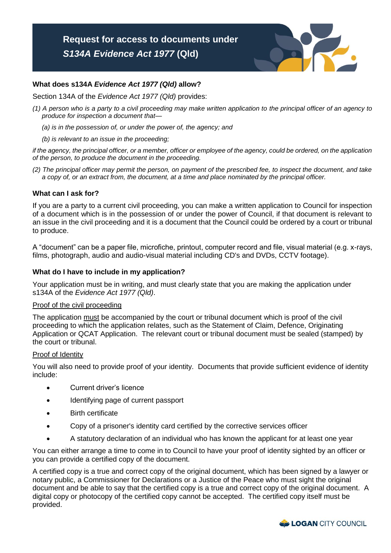

# **What does s134A** *Evidence Act 1977 (Qld)* **allow?**

Section 134A of the *Evidence Act 1977 (Qld)* provides:

- *(1) A person who is a party to a civil proceeding may make written application to the principal officer of an agency to produce for inspection a document that—*
	- *(a) is in the possession of, or under the power of, the agency; and*
	- *(b) is relevant to an issue in the proceeding;*

 *if the agency, the principal officer, or a member, officer or employee of the agency, could be ordered, on the application of the person, to produce the document in the proceeding.* 

 *(2) The principal officer may permit the person, on payment of the prescribed fee, to inspect the document, and take a copy of, or an extract from, the document, at a time and place nominated by the principal officer.* 

### **What can I ask for?**

 If you are a party to a current civil proceeding, you can make a written application to Council for inspection of a document which is in the possession of or under the power of Council, if that document is relevant to an issue in the civil proceeding and it is a document that the Council could be ordered by a court or tribunal to produce.

 A "document" can be a paper file, microfiche, printout, computer record and file, visual material (e.g. x-rays, films, photograph, audio and audio-visual material including CD's and DVDs, CCTV footage).

### **What do I have to include in my application?**

 Your application must be in writing, and must clearly state that you are making the application under s134A of the *Evidence Act 1977 (Qld)*.

### Proof of the civil proceeding

The application must be accompanied by the court or tribunal document which is proof of the civil proceeding to which the application relates, such as the Statement of Claim, Defence, Originating Application or QCAT Application. The relevant court or tribunal document must be sealed (stamped) by the court or tribunal.

#### Proof of Identity

 You will also need to provide proof of your identity. Documents that provide sufficient evidence of identity include:

- **Current driver's licence**
- Identifying page of current passport
- Birth certificate
- Copy of a prisoner's identity card certified by the corrective services officer
- A statutory declaration of an individual who has known the applicant for at least one year

 You can either arrange a time to come in to Council to have your proof of identity sighted by an officer or you can provide a certified copy of the document.

 A certified copy is a true and correct copy of the original document, which has been signed by a lawyer or notary public, a Commissioner for Declarations or a Justice of the Peace who must sight the original document and be able to say that the certified copy is a true and correct copy of the original document. A digital copy or photocopy of the certified copy cannot be accepted. The certified copy itself must be provided.

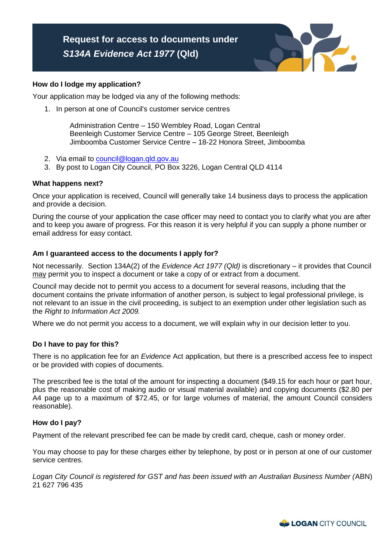#### **How do I lodge my application?**

Your application may be lodged via any of the following methods:

1. In person at one of Council's customer service centres

 Administration Centre – 150 Wembley Road, Logan Central Beenleigh Customer Service Centre – 105 George Street, Beenleigh Jimboomba Customer Service Centre – 18-22 Honora Street, Jimboomba

- 2. Via email to <u>council@logan.qld.gov.au</u>
- 3. By post to Logan City Council, PO Box 3226, Logan Central QLD 4114

### **What happens next?**

 Once your application is received, Council will generally take 14 business days to process the application and provide a decision.

 During the course of your application the case officer may need to contact you to clarify what you are after and to keep you aware of progress. For this reason it is very helpful if you can supply a phone number or email address for easy contact.

#### **Am I guaranteed access to the documents I apply for?**

 Not necessarily. Section 134A(2) of the *Evidence Act 1977 (Qld)* is discretionary – it provides that Council may permit you to inspect a document or take a copy of or extract from a document.

 Council may decide not to permit you access to a document for several reasons, including that the document contains the private information of another person, is subject to legal professional privilege, is not relevant to an issue in the civil proceeding, is subject to an exemption under other legislation such as  the *Right to Information Act 2009.* 

Where we do not permit you access to a document, we will explain why in our decision letter to you.

#### **Do I have to pay for this?**

 There is no application fee for an *Evidence* Act application, but there is a prescribed access fee to inspect or be provided with copies of documents.

or be provided with copies of documents.<br>The prescribed fee is the total of the amount for inspecting a document (\$49.15 for each hour or part hour, plus the reasonable cost of making audio or visual material available) and copying documents (\$2.80 per A4 page up to a maximum of \$72.45, or for large volumes of material, the amount Council considers reasonable).

#### **How do I pay?**

Payment of the relevant prescribed fee can be made by credit card, cheque, cash or money order.

 You may choose to pay for these charges either by telephone, by post or in person at one of our customer service centres.

 *Logan City Council is registered for GST and has been issued with an Australian Business Number (*ABN) 21 627 796 435